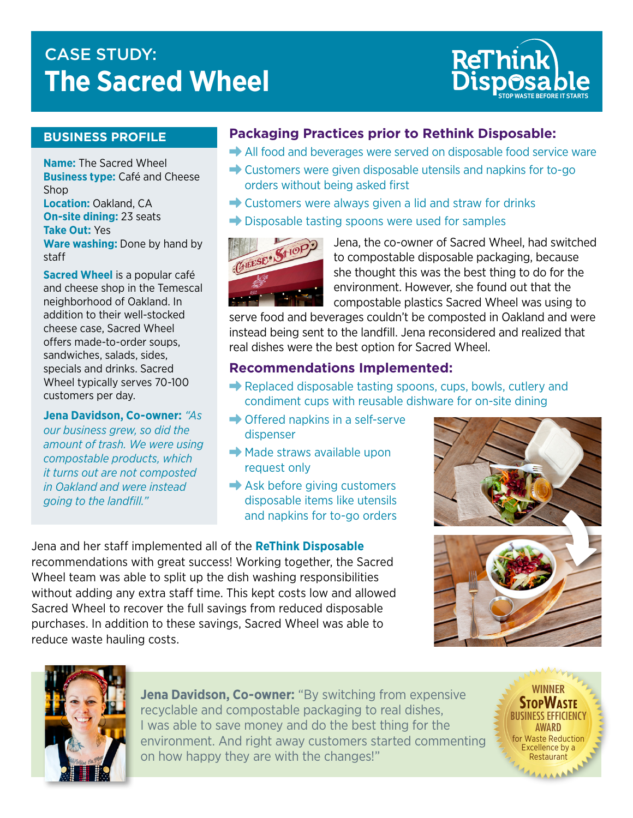# CASE STUDY: T **The Sacred Wheel**



#### **BUSINESS PROFILE**

**Name:** The Sacred Wheel **Business type:** Café and Cheese Shop **Location:** Oakland, CA **On-site dining:** 23 seats **Take Out:** Yes

**Ware washing:** Done by hand by staff

**Sacred Wheel** is a popular café and cheese shop in the Temescal neighborhood of Oakland. In addition to their well-stocked cheese case, Sacred Wheel offers made-to-order soups, sandwiches, salads, sides, specials and drinks. Sacred Wheel typically serves 70-100 customers per day.

**Jena Davidson, Co-owner:** *"As our business grew, so did the amount of trash. We were using compostable products, which it turns out are not composted in Oakland and were instead going to the landfill."*

### **Packaging Practices prior to Rethink Disposable:**

- $\rightarrow$  All food and beverages were served on disposable food service ware
- $\rightarrow$  Customers were given disposable utensils and napkins for to-go orders without being asked first
- $\rightarrow$  Customers were always given a lid and straw for drinks
- $\rightarrow$  Disposable tasting spoons were used for samples



Jena, the co-owner of Sacred Wheel, had switched to compostable disposable packaging, because she thought this was the best thing to do for the environment. However, she found out that the compostable plastics Sacred Wheel was using to

serve food and beverages couldn't be composted in Oakland and were instead being sent to the landfill. Jena reconsidered and realized that real dishes were the best option for Sacred Wheel.

#### **Recommendations Implemented:**

- $\rightarrow$  Replaced disposable tasting spoons, cups, bowls, cutlery and condiment cups with reusable dishware for on-site dining
- $\rightarrow$  Offered napkins in a self-serve dispenser
- $\rightarrow$  Made straws available upon request only
- $\rightarrow$  Ask before giving customers disposable items like utensils and napkins for to-go orders

Jena and her staff implemented all of the **ReThink Disposable**  recommendations with great success! Working together, the Sacred Wheel team was able to split up the dish washing responsibilities without adding any extra staff time. This kept costs low and allowed Sacred Wheel to recover the full savings from reduced disposable purchases. In addition to these savings, Sacred Wheel was able to reduce waste hauling costs.





**Jena Davidson, Co-owner:** "By switching from expensive recyclable and compostable packaging to real dishes, I was able to save money and do the best thing for the environment. And right away customers started commenting on how happy they are with the changes!"